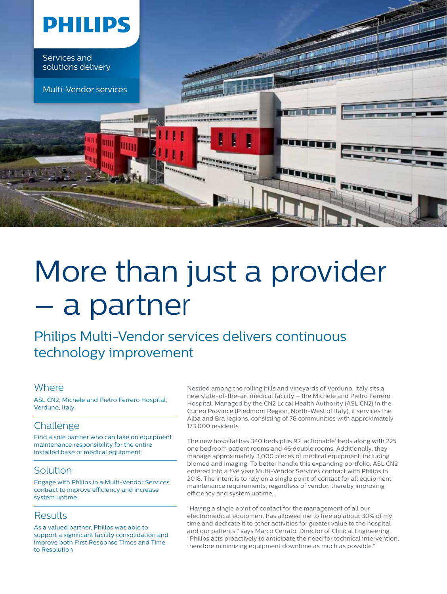

## More than just a provider – a partner

Philips Multi-Vendor services delivers continuous technology improvement

### **Where**

ASL CN2, Michele and Pietro Ferrero Hospital, Verduno, Italy

## Challenge

Find a sole partner who can take on equipment maintenance responsibility for the entire installed base of medical equipment

## **Solution**

Engage with Philips in a Multi-Vendor Services contract to improve efficiency and increase system uptime

## **Results**

As a valued partner, Philips was able to support a significant facility consolidation and improve both First Response Times and Time to Resolution

Nestled among the rolling hills and vineyards of Verduno, Italy sits a new state-of-the-art medical facility – the Michele and Pietro Ferrero Hospital. Managed by the CN2 Local Health Authority (ASL CN2) in the Cuneo Province (Piedmont Region, North-West of Italy), it services the Alba and Bra regions, consisting of 76 communities with approximately 173,000 residents.

The new hospital has 340 beds plus 92 'actionable' beds along with 225 one bedroom patient rooms and 46 double rooms. Additionally, they manage approximately 3,000 pieces of medical equipment, including biomed and imaging. To better handle this expanding portfolio, ASL CN2 entered into a five year Multi-Vendor Services contract with Philips in 2018. The intent is to rely on a single point of contact for all equipment maintenance requirements, regardless of vendor, thereby improving efficiency and system uptime.

"Having a single point of contact for the management of all our electromedical equipment has allowed me to free up about 30% of my time and dedicate it to other activities for greater value to the hospital and our patients," says Marco Cerrato, Director of Clinical Engineering. "Philips acts proactively to anticipate the need for technical intervention, therefore minimizing equipment downtime as much as possible."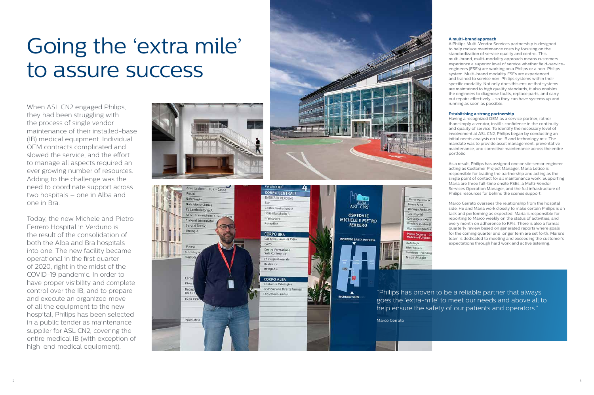# Going the 'extra mile' to assure success

When ASL CN2 engaged Philips, they had been struggling with the process of single vendor maintenance of their installed-base (IB) medical equipment. Individual OEM contracts complicated and slowed the service, and the effort to manage all aspects required an ever growing number of resources. Adding to the challenge was the need to coordinate support across two hospitals – one in Alba and one in Bra.

Today, the new Michele and Pietro Ferrero Hospital in Verduno is the result of the consolidation of both the Alba and Bra hospitals into one. The new facility became operational in the first quarter of 2020, right in the midst of the COVID-19 pandemic. In order to have proper visibility and complete control over the IB, and to prepare and execute an organized move of all the equipment to the new hospital, Philips has been selected in a public tender as maintenance supplier for ASL CN2, covering the entire medical IB (with exception of high-end medical equipment).



#### **A multi-brand approach**

A Philips Multi-Vendor Services partnership is designed to help reduce maintenance costs by focusing on the standardization of service quality and control. This multi-brand, multi-modality approach means customers experience a superior level of service whether field-serviceengineers (FSEs) are working on a Philips or a non-Philips system. Multi-brand modality FSEs are experienced and trained to service non-Philips systems within their specific modality. Not only does this ensure that systems are maintained to high quality standards, it also enables the engineers to diagnose faults, replace parts, and carry out repairs effectively – so they can have systems up and running as soon as possible.

#### **Establishing a strong partnership**

Having a recognized OEM as a service partner, rather than simply a vendor, instills confidence in the continuity and quality of service. To identify the necessary level of involvement at ASL CN2, Philips began by conducting an initial needs analysis on the IB and technology mix. The mandate was to provide asset management, preventative maintenance, and corrective maintenance across the entire portfolio.

As a result, Philips has assigned one onsite senior engineer acting as Customer Project Manager. Maria Letico is responsible for leading the partnership and acting as the single point of contact for all maintenance work. Supporting Maria are three full-time onsite FSEs, a Multi-Vendor Services Operation Manager, and the full infrastructure of Philips resources for behind the scenes support.

Marco Cerrato oversees the relationship from the hospital side. He and Maria work closely to make certain Philips is on task and performing as expected. Maria is responsible for reporting to Marco weekly on the status of activities, and every month on adherence to KPIs. There is also a formal quarterly review based on generated reports where goals for the coming quarter and longer term are set forth. Maria's team is dedicated to meeting and exceeding the customer's expectations through hard work and active listening.

"Philips has proven to be a reliable partner that always goes the 'extra-mile' to meet our needs and above all to help ensure the safety of our patients and operators."